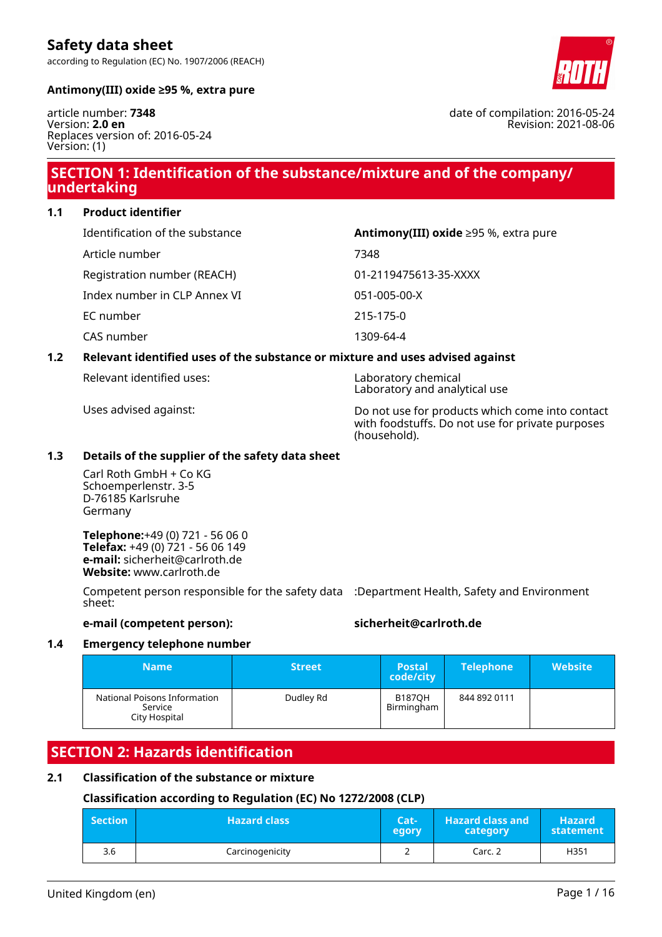according to Regulation (EC) No. 1907/2006 (REACH)



#### **Antimony(III) oxide ≥95 %, extra pure**

article number: **7348** Version: **2.0 en** Replaces version of: 2016-05-24 Version: (1)

### **SECTION 1: Identification of the substance/mixture and of the company/ undertaking**

**1.1 Product identifier**

| Identification of the substance | Antimony(III) oxide $\geq$ 95 %, extra pure |
|---------------------------------|---------------------------------------------|
| Article number                  | 7348                                        |
| Registration number (REACH)     | 01-2119475613-35-XXXX                       |
| Index number in CLP Annex VI    | 051-005-00-X                                |
| EC number                       | 215-175-0                                   |
| CAS number                      | 1309-64-4                                   |

#### **1.2 Relevant identified uses of the substance or mixture and uses advised against**

Relevant identified uses: Laboratory chemical

Laboratory and analytical use

Uses advised against: Do not use for products which come into contact with foodstuffs. Do not use for private purposes (household).

#### **1.3 Details of the supplier of the safety data sheet**

Carl Roth GmbH + Co KG Schoemperlenstr. 3-5 D-76185 Karlsruhe Germany

**Telephone:**+49 (0) 721 - 56 06 0 **Telefax:** +49 (0) 721 - 56 06 149 **e-mail:** sicherheit@carlroth.de **Website:** www.carlroth.de

Competent person responsible for the safety data :Department Health, Safety and Environment sheet:

#### **e-mail (competent person): sicherheit@carlroth.de**

#### **1.4 Emergency telephone number**

| <b>Name</b>                                              | <b>Street</b> | <b>Postal</b><br>code/city  | <b>Telephone</b> | <b>Website</b> |
|----------------------------------------------------------|---------------|-----------------------------|------------------|----------------|
| National Poisons Information<br>Service<br>City Hospital | Dudley Rd     | <b>B187OH</b><br>Birmingham | 844 892 0111     |                |

### **SECTION 2: Hazards identification**

#### **2.1 Classification of the substance or mixture**

#### **Classification according to Regulation (EC) No 1272/2008 (CLP)**

| <b>Section</b> | <b>Hazard class</b> | Cat-<br>egory | <b>Hazard class and</b><br>category | <b>Hazard</b><br>statement |
|----------------|---------------------|---------------|-------------------------------------|----------------------------|
| 3.6            | Carcinogenicity     | _             | Carc. 2                             | H351                       |

date of compilation: 2016-05-24 Revision: 2021-08-06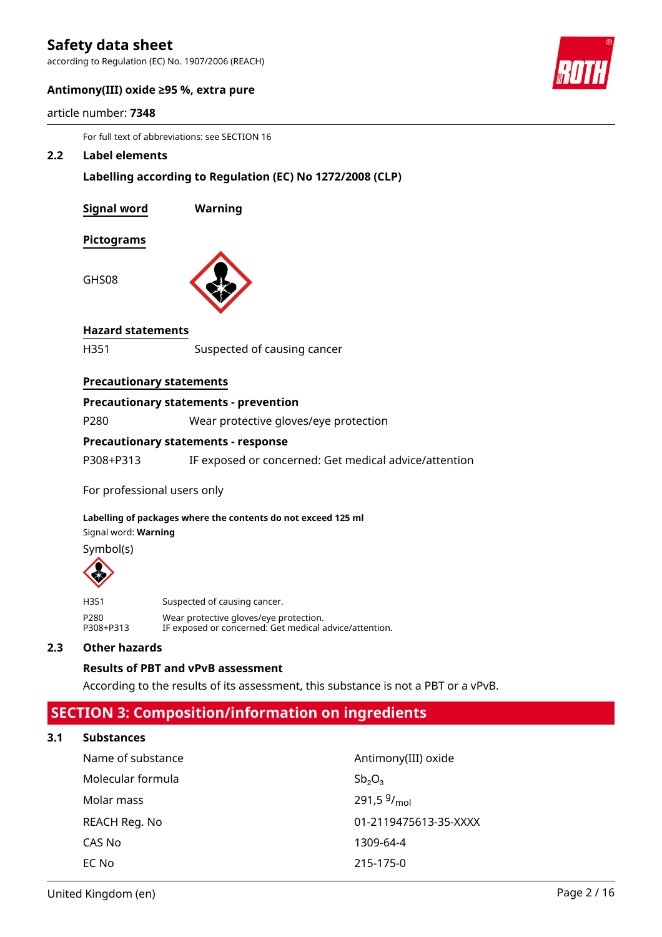according to Regulation (EC) No. 1907/2006 (REACH)



#### **Antimony(III) oxide ≥95 %, extra pure**

|  |  | article number: 7348 |  |
|--|--|----------------------|--|
|--|--|----------------------|--|

For full text of abbreviations: see SECTION 16

#### **2.2 Label elements**

**Labelling according to Regulation (EC) No 1272/2008 (CLP)**

| <b>Signal word</b> | Warning |
|--------------------|---------|
| Pictograms         |         |
| GHS08              |         |

#### **Hazard statements**

H351 Suspected of causing cancer

#### **Precautionary statements**

#### **Precautionary statements - prevention**

P280 Wear protective gloves/eye protection

#### **Precautionary statements - response**

P308+P313 IF exposed or concerned: Get medical advice/attention

For professional users only

#### **Labelling of packages where the contents do not exceed 125 ml**

Signal word: **Warning**

Symbol(s)



| H351      | Suspected of causing cancer.                           |
|-----------|--------------------------------------------------------|
| P280      | Wear protective gloves/eye protection.                 |
| P308+P313 | IF exposed or concerned: Get medical advice/attention. |

#### **2.3 Other hazards**

#### **Results of PBT and vPvB assessment**

According to the results of its assessment, this substance is not a PBT or a vPvB.

### **SECTION 3: Composition/information on ingredients**

#### **3.1 Substances**

| Name of substance | Antimony(III) oxide   |
|-------------------|-----------------------|
| Molecular formula | $Sb_2O_3$             |
| Molar mass        | 291,5 $9/_{mol}$      |
| REACH Reg. No     | 01-2119475613-35-XXXX |
| CAS No            | 1309-64-4             |
| EC No             | 215-175-0             |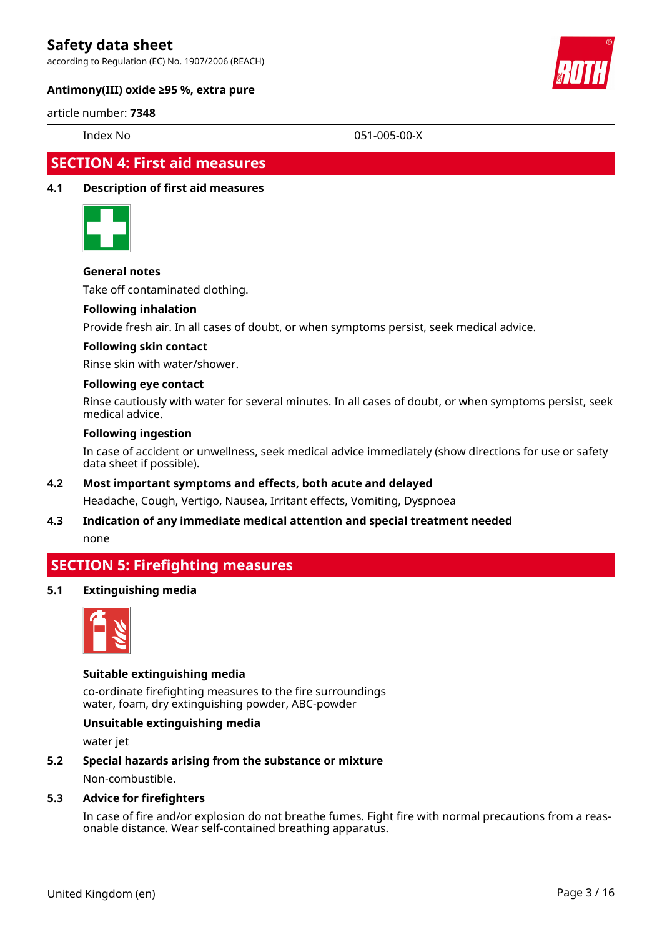according to Regulation (EC) No. 1907/2006 (REACH)



#### **Antimony(III) oxide ≥95 %, extra pure**

#### article number: **7348**

Index No 051-005-00-X

### **SECTION 4: First aid measures**

#### **4.1 Description of first aid measures**



#### **General notes**

Take off contaminated clothing.

#### **Following inhalation**

Provide fresh air. In all cases of doubt, or when symptoms persist, seek medical advice.

#### **Following skin contact**

Rinse skin with water/shower.

#### **Following eye contact**

Rinse cautiously with water for several minutes. In all cases of doubt, or when symptoms persist, seek medical advice.

#### **Following ingestion**

In case of accident or unwellness, seek medical advice immediately (show directions for use or safety data sheet if possible).

#### **4.2 Most important symptoms and effects, both acute and delayed**

Headache, Cough, Vertigo, Nausea, Irritant effects, Vomiting, Dyspnoea

### **4.3 Indication of any immediate medical attention and special treatment needed**

none

### **SECTION 5: Firefighting measures**

#### **5.1 Extinguishing media**



#### **Suitable extinguishing media**

co-ordinate firefighting measures to the fire surroundings water, foam, dry extinguishing powder, ABC-powder

#### **Unsuitable extinguishing media**

water jet

#### **5.2 Special hazards arising from the substance or mixture**

Non-combustible.

#### **5.3 Advice for firefighters**

In case of fire and/or explosion do not breathe fumes. Fight fire with normal precautions from a reasonable distance. Wear self-contained breathing apparatus.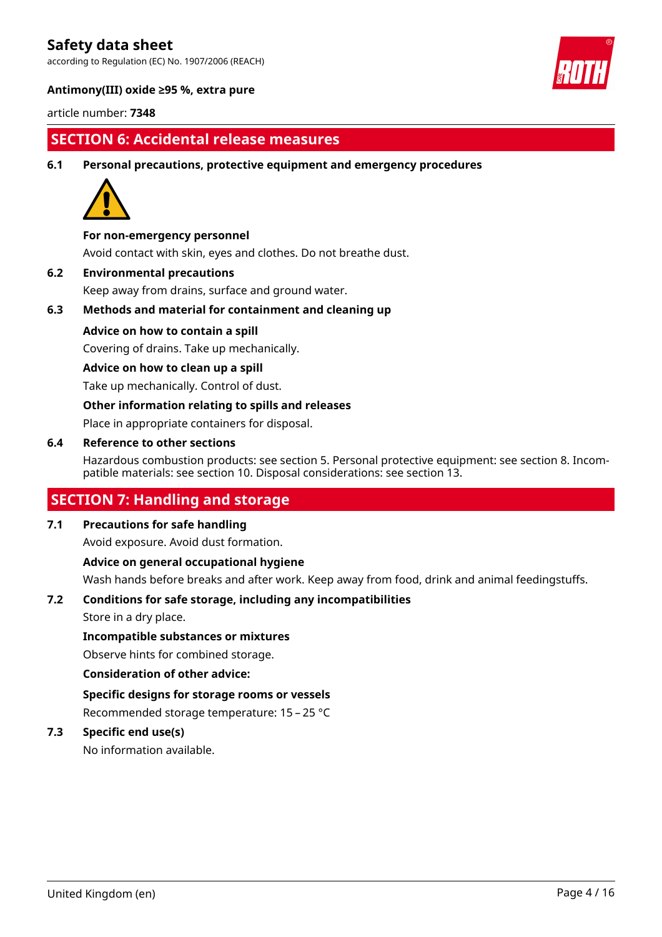according to Regulation (EC) No. 1907/2006 (REACH)



#### **Antimony(III) oxide ≥95 %, extra pure**

article number: **7348**

### **SECTION 6: Accidental release measures**

**6.1 Personal precautions, protective equipment and emergency procedures**



#### **For non-emergency personnel**

Avoid contact with skin, eyes and clothes. Do not breathe dust.

**6.2 Environmental precautions**

Keep away from drains, surface and ground water.

**6.3 Methods and material for containment and cleaning up**

#### **Advice on how to contain a spill**

Covering of drains. Take up mechanically.

#### **Advice on how to clean up a spill**

Take up mechanically. Control of dust.

#### **Other information relating to spills and releases**

Place in appropriate containers for disposal.

#### **6.4 Reference to other sections**

Hazardous combustion products: see section 5. Personal protective equipment: see section 8. Incompatible materials: see section 10. Disposal considerations: see section 13.

### **SECTION 7: Handling and storage**

#### **7.1 Precautions for safe handling**

Avoid exposure. Avoid dust formation.

#### **Advice on general occupational hygiene**

Wash hands before breaks and after work. Keep away from food, drink and animal feedingstuffs.

#### **7.2 Conditions for safe storage, including any incompatibilities**

Store in a dry place.

#### **Incompatible substances or mixtures**

Observe hints for combined storage.

#### **Consideration of other advice:**

**Specific designs for storage rooms or vessels** Recommended storage temperature: 15 – 25 °C

#### **7.3 Specific end use(s)**

No information available.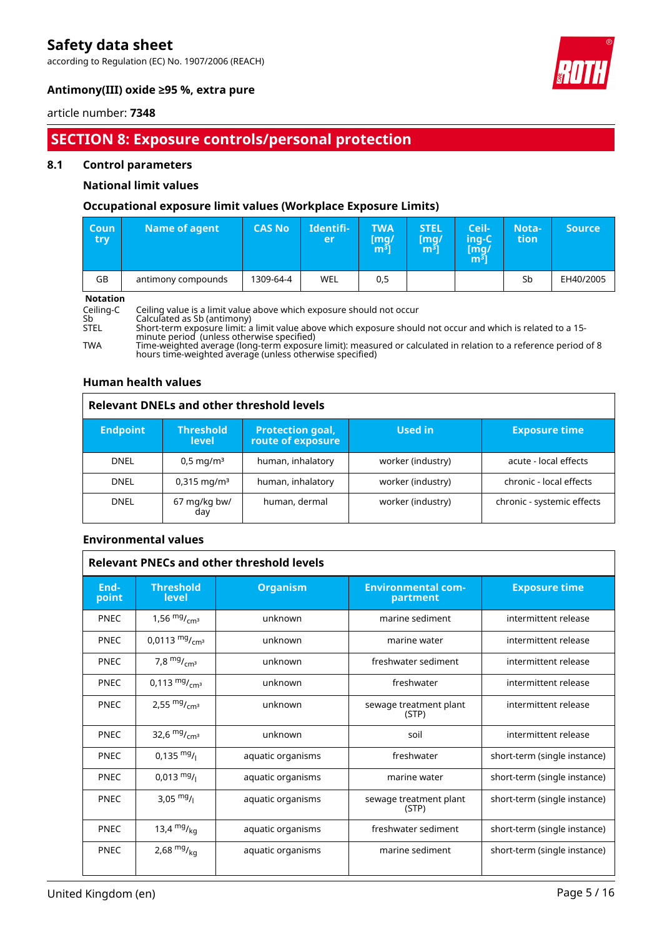according to Regulation (EC) No. 1907/2006 (REACH)



#### **Antimony(III) oxide ≥95 %, extra pure**

#### article number: **7348**

### **SECTION 8: Exposure controls/personal protection**

#### **8.1 Control parameters**

#### **National limit values**

#### **Occupational exposure limit values (Workplace Exposure Limits)**

| <b>Coun</b><br>try – | Name of agent      | <b>CAS No</b> | Identifi-<br>er | <b>TWA</b><br>[mg/<br>m <sup>3</sup> | <b>STEL</b><br>[mg/<br>m <sup>3</sup> | Ceil-<br>ing-C<br>[mg/<br>m $^{31}$ | Nota-<br>tion | <b>Source</b> |
|----------------------|--------------------|---------------|-----------------|--------------------------------------|---------------------------------------|-------------------------------------|---------------|---------------|
| GB                   | antimony compounds | 1309-64-4     | WEL             | 0,5                                  |                                       |                                     | Sb            | EH40/2005     |

# **Notation**<br>Ceiling-C<br>Sb<br>STEL

Ceiling-C Ceiling value is a limit value above which exposure should not occur

Sb Calculated as Sb (antimony)

STEL Short-term exposure limit: a limit value above which exposure should not occur and which is related to a 15 minute period (unless otherwise specified)

TWA Time-weighted average (long-term exposure limit): measured or calculated in relation to a reference period of 8 hours time-weighted average (unless otherwise specified)

#### **Human health values**

| <b>Relevant DNELs and other threshold levels</b> |                                  |                                              |                   |                            |  |
|--------------------------------------------------|----------------------------------|----------------------------------------------|-------------------|----------------------------|--|
| <b>Endpoint</b>                                  | <b>Threshold</b><br><b>level</b> | <b>Protection goal,</b><br>route of exposure | Used in           | <b>Exposure time</b>       |  |
| <b>DNEL</b>                                      | $0.5 \,\mathrm{mq/m^3}$          | human, inhalatory                            | worker (industry) | acute - local effects      |  |
| <b>DNEL</b>                                      | $0.315$ mg/m <sup>3</sup>        | human, inhalatory                            | worker (industry) | chronic - local effects    |  |
| <b>DNEL</b>                                      | 67 mg/kg bw/<br>day              | human, dermal                                | worker (industry) | chronic - systemic effects |  |

#### **Environmental values**

|               | <b>Relevant PNECs and other threshold levels</b> |                   |                                       |                              |  |  |
|---------------|--------------------------------------------------|-------------------|---------------------------------------|------------------------------|--|--|
| End-<br>point | <b>Threshold</b><br><b>level</b>                 | <b>Organism</b>   | <b>Environmental com-</b><br>partment | <b>Exposure time</b>         |  |  |
| <b>PNEC</b>   | 1,56 $mg/mcm3$                                   | unknown           | marine sediment                       | intermittent release         |  |  |
| <b>PNEC</b>   | 0,0113 $mg/m3$                                   | unknown           | marine water                          | intermittent release         |  |  |
| <b>PNEC</b>   | 7,8 $mg/mcm3$                                    | unknown           | freshwater sediment                   | intermittent release         |  |  |
| <b>PNEC</b>   | 0,113 $mg/mcm3$                                  | unknown           | freshwater                            | intermittent release         |  |  |
| <b>PNEC</b>   | 2,55 $mg/mcm3$                                   | unknown           | sewage treatment plant<br>(STP)       | intermittent release         |  |  |
| <b>PNEC</b>   | 32,6 $mg/m3$                                     | unknown           | soil                                  | intermittent release         |  |  |
| <b>PNEC</b>   | $0,135 \frac{mg}{l}$                             | aquatic organisms | freshwater                            | short-term (single instance) |  |  |
| <b>PNEC</b>   | $0,013 \text{ mg}$ /                             | aquatic organisms | marine water                          | short-term (single instance) |  |  |
| <b>PNEC</b>   | 3,05 $mg/$                                       | aquatic organisms | sewage treatment plant<br>(STP)       | short-term (single instance) |  |  |
| <b>PNEC</b>   | 13,4 $mg/kq$                                     | aquatic organisms | freshwater sediment                   | short-term (single instance) |  |  |
| <b>PNEC</b>   | 2,68 $mg/kq$                                     | aquatic organisms | marine sediment                       | short-term (single instance) |  |  |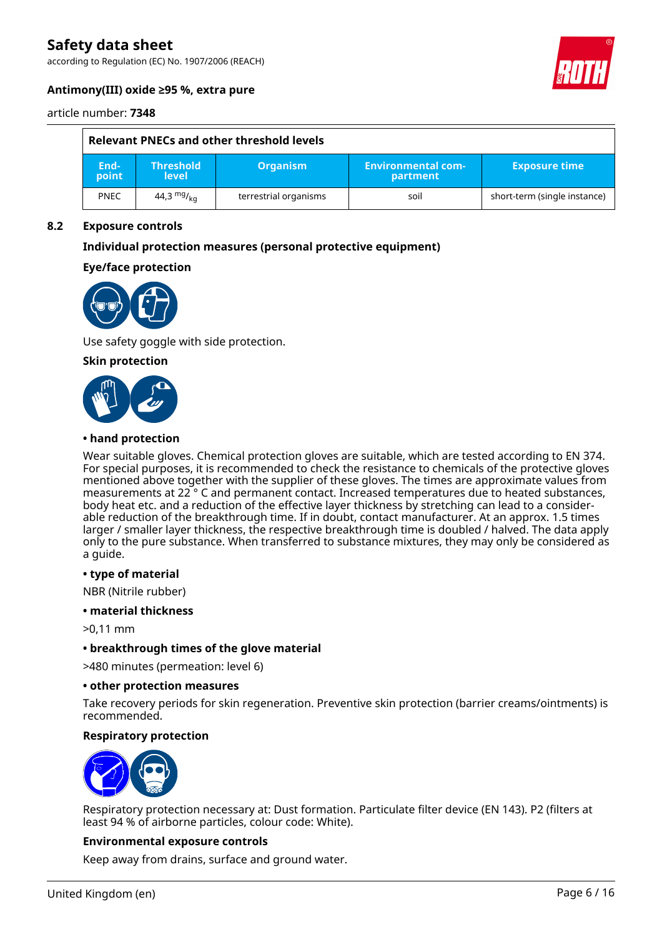according to Regulation (EC) No. 1907/2006 (REACH)



#### **Antimony(III) oxide ≥95 %, extra pure**

article number: **7348**

| Relevant PNECs and other threshold levels |                                  |                       |                                       |                              |
|-------------------------------------------|----------------------------------|-----------------------|---------------------------------------|------------------------------|
| End-<br>point                             | <b>Threshold</b><br><b>level</b> | <b>Organism</b>       | <b>Environmental com-</b><br>partment | <b>Exposure time</b>         |
| <b>PNEC</b>                               | 44,3 $mg/_{ka}$                  | terrestrial organisms | soil                                  | short-term (single instance) |

#### **8.2 Exposure controls**

#### **Individual protection measures (personal protective equipment)**

#### **Eye/face protection**



Use safety goggle with side protection.

**Skin protection**



#### **• hand protection**

Wear suitable gloves. Chemical protection gloves are suitable, which are tested according to EN 374. For special purposes, it is recommended to check the resistance to chemicals of the protective gloves mentioned above together with the supplier of these gloves. The times are approximate values from measurements at 22 ° C and permanent contact. Increased temperatures due to heated substances, body heat etc. and a reduction of the effective layer thickness by stretching can lead to a considerable reduction of the breakthrough time. If in doubt, contact manufacturer. At an approx. 1.5 times larger / smaller layer thickness, the respective breakthrough time is doubled / halved. The data apply only to the pure substance. When transferred to substance mixtures, they may only be considered as a guide.

#### **• type of material**

NBR (Nitrile rubber)

**• material thickness**

>0,11 mm

**• breakthrough times of the glove material**

>480 minutes (permeation: level 6)

#### **• other protection measures**

Take recovery periods for skin regeneration. Preventive skin protection (barrier creams/ointments) is recommended.

#### **Respiratory protection**



Respiratory protection necessary at: Dust formation. Particulate filter device (EN 143). P2 (filters at least 94 % of airborne particles, colour code: White).

#### **Environmental exposure controls**

Keep away from drains, surface and ground water.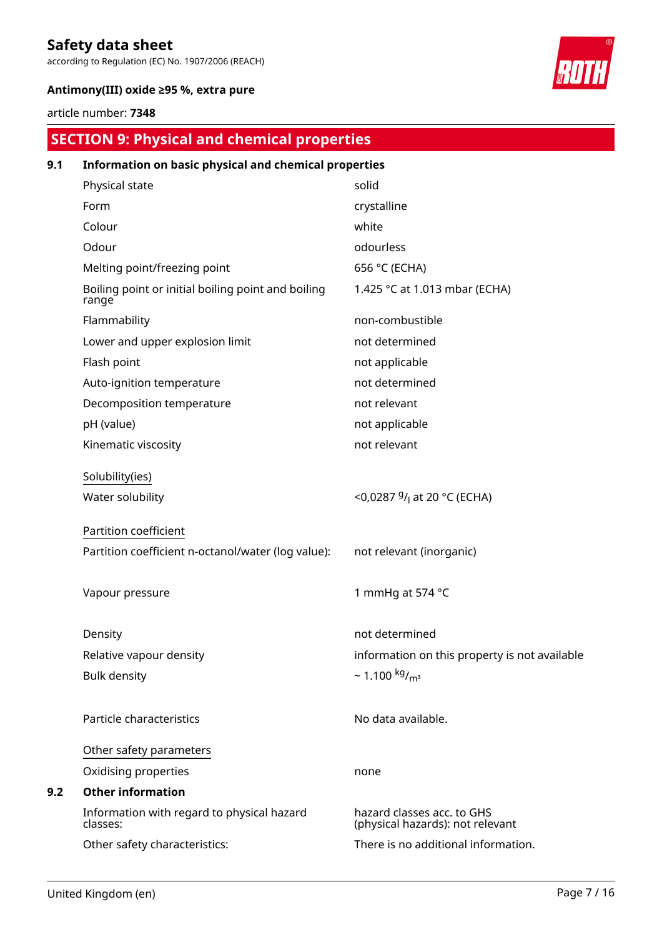according to Regulation (EC) No. 1907/2006 (REACH)



#### **Antimony(III) oxide ≥95 %, extra pure**

### article number: **7348**

### **SECTION 9: Physical and chemical properties**

| 9.1 | Information on basic physical and chemical properties       |                                                                |
|-----|-------------------------------------------------------------|----------------------------------------------------------------|
|     | Physical state                                              | solid                                                          |
|     | Form                                                        | crystalline                                                    |
|     | Colour                                                      | white                                                          |
|     | Odour                                                       | odourless                                                      |
|     | Melting point/freezing point                                | 656 °C (ECHA)                                                  |
|     | Boiling point or initial boiling point and boiling<br>range | 1.425 °C at 1.013 mbar (ECHA)                                  |
|     | Flammability                                                | non-combustible                                                |
|     | Lower and upper explosion limit                             | not determined                                                 |
|     | Flash point                                                 | not applicable                                                 |
|     | Auto-ignition temperature                                   | not determined                                                 |
|     | Decomposition temperature                                   | not relevant                                                   |
|     | pH (value)                                                  | not applicable                                                 |
|     | Kinematic viscosity                                         | not relevant                                                   |
|     | Solubility(ies)                                             |                                                                |
|     | Water solubility                                            | <0,0287 <sup>g</sup> / <sub>l</sub> at 20 °C (ECHA)            |
|     | Partition coefficient                                       |                                                                |
|     | Partition coefficient n-octanol/water (log value):          | not relevant (inorganic)                                       |
|     | Vapour pressure                                             | 1 mmHq at 574 °C                                               |
|     | Density                                                     | not determined                                                 |
|     | Relative vapour density                                     | information on this property is not available                  |
|     | <b>Bulk density</b>                                         | $\sim$ 1.100 kg/ <sub>m<sup>3</sup></sub>                      |
|     | Particle characteristics                                    | No data available.                                             |
|     | Other safety parameters                                     |                                                                |
|     | Oxidising properties                                        | none                                                           |
| 9.2 | <b>Other information</b>                                    |                                                                |
|     | Information with regard to physical hazard<br>classes:      | hazard classes acc. to GHS<br>(physical hazards): not relevant |
|     | Other safety characteristics:                               | There is no additional information.                            |
|     |                                                             |                                                                |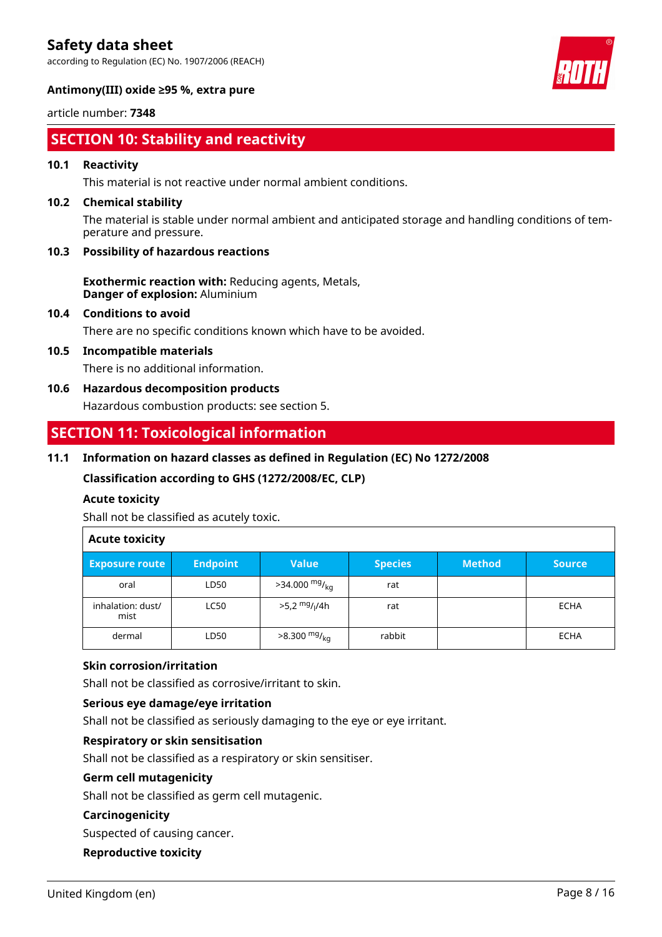according to Regulation (EC) No. 1907/2006 (REACH)



article number: **7348**

### **SECTION 10: Stability and reactivity**

#### **10.1 Reactivity**

This material is not reactive under normal ambient conditions.

#### **10.2 Chemical stability**

The material is stable under normal ambient and anticipated storage and handling conditions of temperature and pressure.

#### **10.3 Possibility of hazardous reactions**

**Exothermic reaction with:** Reducing agents, Metals, **Danger of explosion:** Aluminium

#### **10.4 Conditions to avoid**

There are no specific conditions known which have to be avoided.

### **10.5 Incompatible materials**

There is no additional information.

#### **10.6 Hazardous decomposition products**

Hazardous combustion products: see section 5.

### **SECTION 11: Toxicological information**

#### **11.1 Information on hazard classes as defined in Regulation (EC) No 1272/2008**

**Classification according to GHS (1272/2008/EC, CLP)**

#### **Acute toxicity**

Shall not be classified as acutely toxic.

### **Acute toxicity**

| <b>Exposure route</b>     | <b>Endpoint</b> | <b>Value</b>                          | <b>Species</b> | <b>Method</b> | <b>Source</b> |
|---------------------------|-----------------|---------------------------------------|----------------|---------------|---------------|
| oral                      | LD50            | $>34.000$ mg/ <sub>kg</sub>           | rat            |               |               |
| inhalation: dust/<br>mist | <b>LC50</b>     | >5,2 <sup>mg</sup> / <sub>l</sub> /4h | rat            |               | <b>ECHA</b>   |
| dermal                    | LD50            | $>8.300$ mg/ <sub>kg</sub>            | rabbit         |               | <b>ECHA</b>   |

#### **Skin corrosion/irritation**

Shall not be classified as corrosive/irritant to skin.

#### **Serious eye damage/eye irritation**

Shall not be classified as seriously damaging to the eye or eye irritant.

#### **Respiratory or skin sensitisation**

Shall not be classified as a respiratory or skin sensitiser.

#### **Germ cell mutagenicity**

Shall not be classified as germ cell mutagenic.

#### **Carcinogenicity**

Suspected of causing cancer.

#### **Reproductive toxicity**

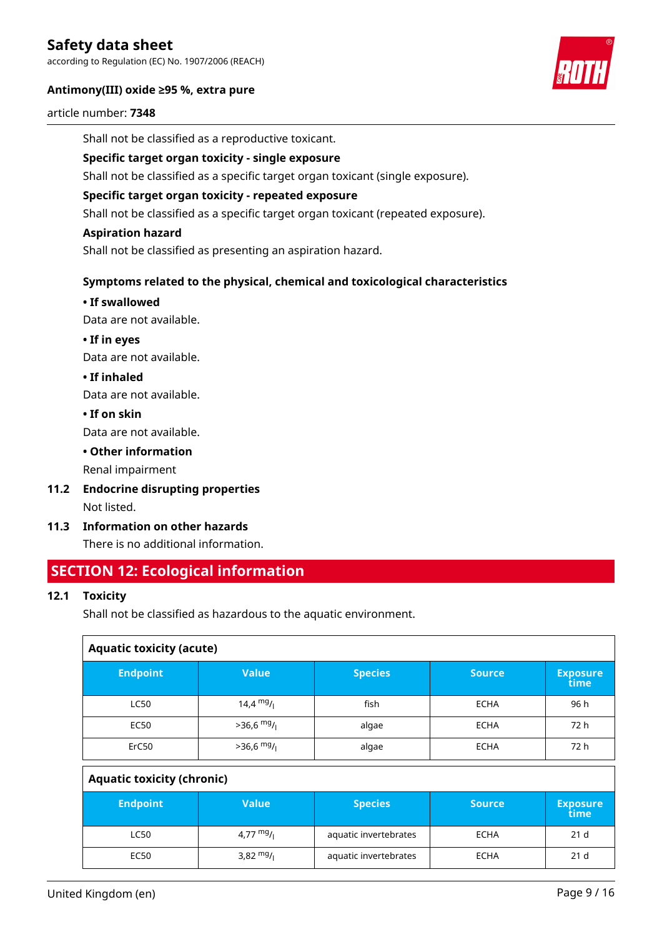according to Regulation (EC) No. 1907/2006 (REACH)

#### **Antimony(III) oxide ≥95 %, extra pure**



#### article number: **7348**

Shall not be classified as a reproductive toxicant.

#### **Specific target organ toxicity - single exposure**

Shall not be classified as a specific target organ toxicant (single exposure).

#### **Specific target organ toxicity - repeated exposure**

Shall not be classified as a specific target organ toxicant (repeated exposure).

#### **Aspiration hazard**

Shall not be classified as presenting an aspiration hazard.

#### **Symptoms related to the physical, chemical and toxicological characteristics**

#### **• If swallowed**

Data are not available.

**• If in eyes**

Data are not available.

**• If inhaled**

Data are not available.

**• If on skin**

Data are not available.

#### **• Other information**

Renal impairment

- **11.2 Endocrine disrupting properties** Not listed.
- **11.3 Information on other hazards**

There is no additional information.

### **SECTION 12: Ecological information**

#### **12.1 Toxicity**

Shall not be classified as hazardous to the aquatic environment.

| <b>Aquatic toxicity (acute)</b>   |              |                |               |                         |  |
|-----------------------------------|--------------|----------------|---------------|-------------------------|--|
| <b>Endpoint</b>                   | <b>Value</b> | <b>Species</b> | <b>Source</b> | <b>Exposure</b><br>time |  |
| <b>LC50</b>                       | 14,4 $mg/1$  | fish           | <b>ECHA</b>   | 96 h                    |  |
| <b>EC50</b>                       | $>36,6$ mg/  | algae          | <b>ECHA</b>   | 72 h                    |  |
| ErC50                             | $>36,6$ mg/  | algae          | <b>ECHA</b>   | 72 h                    |  |
| <b>Aquatic toxicity (chronic)</b> |              |                |               |                         |  |

| <b>Endpoint</b> | Value       | <b>Species</b>        | <b>Source</b> | <b>Exposure</b><br>time |
|-----------------|-------------|-----------------------|---------------|-------------------------|
| LC50            | 4,77 $mg/1$ | aquatic invertebrates | <b>ECHA</b>   | 21 <sub>d</sub>         |
| EC50            | 3,82 $mg/$  | aquatic invertebrates | <b>ECHA</b>   | 21 <sub>d</sub>         |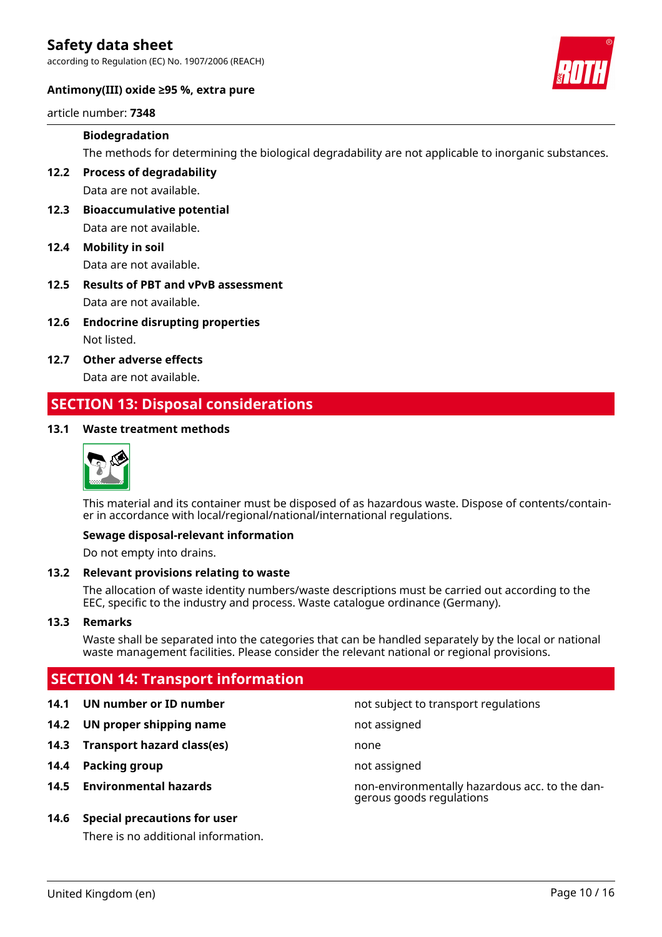according to Regulation (EC) No. 1907/2006 (REACH)



#### **Antimony(III) oxide ≥95 %, extra pure**

article number: **7348**

#### **Biodegradation**

The methods for determining the biological degradability are not applicable to inorganic substances.

**12.2 Process of degradability** Data are not available.

- **12.3 Bioaccumulative potential** Data are not available.
- **12.4 Mobility in soil** Data are not available.
- **12.5 Results of PBT and vPvB assessment** Data are not available.
- **12.6 Endocrine disrupting properties** Not listed.
- **12.7 Other adverse effects** Data are not available.

### **SECTION 13: Disposal considerations**

#### **13.1 Waste treatment methods**



This material and its container must be disposed of as hazardous waste. Dispose of contents/container in accordance with local/regional/national/international regulations.

#### **Sewage disposal-relevant information**

Do not empty into drains.

#### **13.2 Relevant provisions relating to waste**

The allocation of waste identity numbers/waste descriptions must be carried out according to the EEC, specific to the industry and process. Waste catalogue ordinance (Germany).

#### **13.3 Remarks**

Waste shall be separated into the categories that can be handled separately by the local or national waste management facilities. Please consider the relevant national or regional provisions.

### **SECTION 14: Transport information**

- 
- **14.2 UN proper shipping name** not assigned
- **14.3 Transport hazard class(es)** none
- **14.4 Packing group not assigned**
- 

#### **14.6 Special precautions for user**

There is no additional information.

**14.1 UN number or ID number not subject to transport regulations** 

**14.5 Environmental hazards** non-environmentally hazardous acc. to the dangerous goods regulations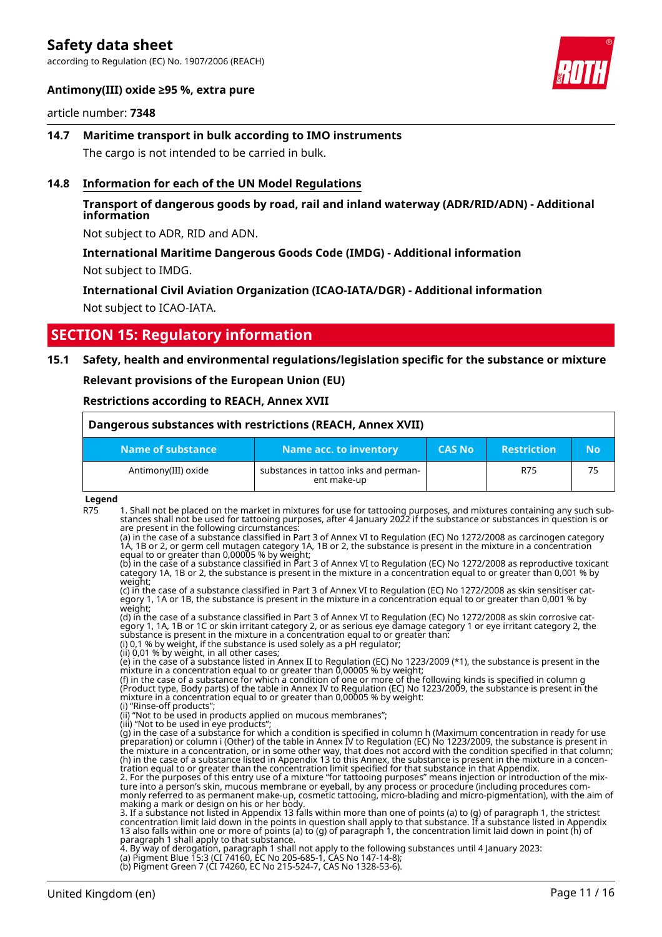according to Regulation (EC) No. 1907/2006 (REACH)



#### **Antimony(III) oxide ≥95 %, extra pure**

#### article number: **7348**

**14.7 Maritime transport in bulk according to IMO instruments** The cargo is not intended to be carried in bulk.

#### **14.8 Information for each of the UN Model Regulations**

#### **Transport of dangerous goods by road, rail and inland waterway (ADR/RID/ADN) - Additional information**

Not subject to ADR, RID and ADN.

#### **International Maritime Dangerous Goods Code (IMDG) - Additional information** Not subject to IMDG.

#### **International Civil Aviation Organization (ICAO-IATA/DGR) - Additional information** Not subject to ICAO-IATA.

### **SECTION 15: Regulatory information**

#### **15.1 Safety, health and environmental regulations/legislation specific for the substance or mixture**

**Relevant provisions of the European Union (EU)**

#### **Restrictions according to REACH, Annex XVII**

| Dangerous substances with restrictions (REACH, Annex XVII) |                                                      |               |                    |     |
|------------------------------------------------------------|------------------------------------------------------|---------------|--------------------|-----|
| Name of substance                                          | Name acc. to inventory                               | <b>CAS No</b> | <b>Restriction</b> | No. |
| Antimony(III) oxide                                        | substances in tattoo inks and perman-<br>ent make-up |               | R75                | 75  |

#### **Legend**

R75 1. Shall not be placed on the market in mixtures for use for tattooing purposes, and mixtures containing any such substances shall not be used for tattooing purposes, after 4 January 2022 if the substance or substances in question is or are present in the following circumstances:

(a) in the case of a substance classified in Part 3 of Annex VI to Regulation (EC) No 1272/2008 as carcinogen category 1A, 1B or 2, or germ cell mutagen category 1A, 1B or 2, the substance is present in the mixture in a concentration equal to or greater than 0,00005 % by weight;

(b) in the case of a substance classified in Part 3 of Annex VI to Regulation (EC) No 1272/2008 as reproductive toxicant category 1A, 1B or 2, the substance is present in the mixture in a concentration equal to or greater than 0,001 % by weight;

(c) in the case of a substance classified in Part 3 of Annex VI to Regulation (EC) No 1272/2008 as skin sensitiser category 1, 1A or 1B, the substance is present in the mixture in a concentration equal to or greater than 0,001 % by weight;

(d) in the case of a substance classified in Part 3 of Annex VI to Regulation (EC) No 1272/2008 as skin corrosive category 1, 1A, 1B or 1C or skin irritant category 2, or as serious eye damage category 1 or eye irritant category 2, the substance is present in the mixture in a concentration equal to or greater than.

(i) 0,1 % by weight, if the substance is used solely as a pH regulator; (ii) 0,01 % by weight, in all other cases;

(e) in the case of a substance listed in Annex II to Regulation (EC) No 1223/2009 (\*1), the substance is present in the mixture in a concentration equal to or greater than 0,00005 % by weight;

(f) in the case of a substance for which a condition of one or more of the following kinds is specified in column g (Product type, Body parts) of the table in Annex IV to Regulation (EC) No 1223/2009, the substance is present in the mixture in a concentration equal to or greater than 0,00005 % by weight: (i) "Rinse-off products";

(ii) "Not to be used in products applied on mucous membranes";

(iii) "Not to be used in eye products"

(g) in the case of a substance for which a condition is specified in column h (Maximum concentration in ready for use preparation) or column i (Other) of the table in Annex IV to Regulation (EC) No 1223/2009, the substance is present in the mixture in a concentration, or in some other way, that does not accord with the condition specified in that column; (h) in the case of a substance listed in Appendix 13 to this Annex, the substance is present in the mixture in a concentration equal to or greater than the concentration limit specified for that substance in that Appendix.

2. For the purposes of this entry use of a mixture "for tattooing purposes" means injection or introduction of the mixture into a person's skin, mucous membrane or eyeball, by any process or procedure (including procedures commonly referred to as permanent make-up, cosmetic tattooing, micro-blading and micro-pigmentation), with the aim of making a mark or design on his or her body.

3. If a substance not listed in Appendix 13 falls within more than one of points (a) to (g) of paragraph 1, the strictest concentration limit laid down in the points in question shall apply to that substance. If a substance listed in Appendix 13 also falls within one or more of points (a) to (g) of paragraph 1, the concentration limit laid down in point (h) of paragraph 1 shall apply to that substance.

4. By way of derogation, paragraph 1 shall not apply to the following substances until 4 January 2023:

(a) Pigment Blue 15:3 (CI 74160, EC No 205-685-1, CAS No 147-14-8);

(b) Pigment Green 7 (CI 74260, EC No 215-524-7, CAS No 1328-53-6).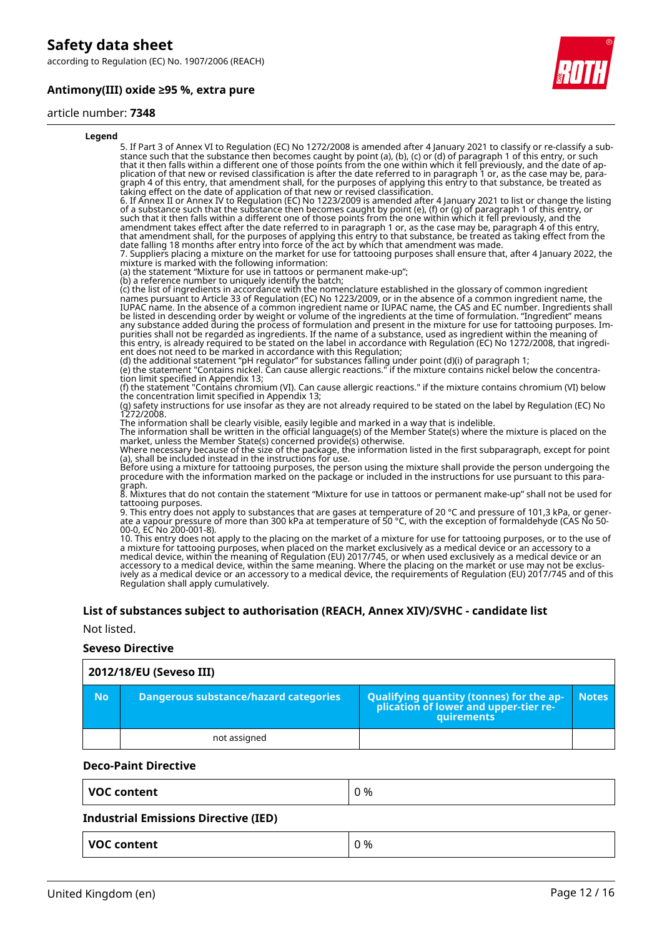according to Regulation (EC) No. 1907/2006 (REACH)

#### **Antimony(III) oxide ≥95 %, extra pure**



#### article number: **7348**

| Legend |                                                                                                                                                                                                                                                                                                                                                                                                                                                                                                                                                                                                                                                                                                                                                                                                                                                                                                                                                                                                                                                                                                                                                                                                                                                                                                                                                                                                                                                                                                                                                                                                                                          |
|--------|------------------------------------------------------------------------------------------------------------------------------------------------------------------------------------------------------------------------------------------------------------------------------------------------------------------------------------------------------------------------------------------------------------------------------------------------------------------------------------------------------------------------------------------------------------------------------------------------------------------------------------------------------------------------------------------------------------------------------------------------------------------------------------------------------------------------------------------------------------------------------------------------------------------------------------------------------------------------------------------------------------------------------------------------------------------------------------------------------------------------------------------------------------------------------------------------------------------------------------------------------------------------------------------------------------------------------------------------------------------------------------------------------------------------------------------------------------------------------------------------------------------------------------------------------------------------------------------------------------------------------------------|
|        | 5. If Part 3 of Annex VI to Regulation (EC) No 1272/2008 is amended after 4 January 2021 to classify or re-classify a sub-<br>stance such that the substance then becomes caught by point (a), (b), (c) or (d) of paragraph 1 of this entry, or such<br>that it then falls within a different one of those points from the one within which it fell previously, and the date of ap-<br>plication of that new or revised classification is after the date referred to in paragraph 1 or, as the case may be, para-<br>graph 4 of this entry, that amendment shall, for the purposes of applying this entry to that substance, be treated as<br>taking effect on the date of application of that new or revised classification.<br>6. If Annex II or Annex IV to Regulation (EC) No 1223/2009 is amended after 4 January 2021 to list or change the listing<br>of a substance such that the substance then becomes caught by point (e), (f) or (g) of paragraph 1 of this entry, or<br>such that it then falls within a different one of those points from the one within which it fell previously, and the<br>amendment takes effect after the date referred to in paragraph 1 or, as the case may be, paragraph 4 of this entry,<br>that amendment shall, for the purposes of applying this entry to that substance, be treated as taking effect from the<br>date falling 18 months after entry into force of the act by which that amendment was made.<br>7. Suppliers placing a mixture on the market for use for tattooing purposes shall ensure that, after 4 January 2022, the<br>mixture is marked with the following information: |
|        | (a) the statement "Mixture for use in tattoos or permanent make-up";                                                                                                                                                                                                                                                                                                                                                                                                                                                                                                                                                                                                                                                                                                                                                                                                                                                                                                                                                                                                                                                                                                                                                                                                                                                                                                                                                                                                                                                                                                                                                                     |
|        | (b) a reference number to uniquely identify the batch;<br>(c) the list of ingredients in accordance with the nomenclature established in the glossary of common ingredient<br>names pursuant to Article 33 of Regulation (EC) No 1223/2009, or in the absence of a common ingredient name, the<br>IUPAC name. In the absence of a common ingredient name or IUPAC name, the CAS and EC number. Ingredients shall<br>be listed in descending order by weight or volume of the ingredients at the time of formulation. "Ingredient" means<br>any substance added during the process of formulation and present in the mixture for use for tattooing purposes. Im-<br>purities shall not be regarded as ingredients. If the name of a substance, used as ingredient within the meaning of<br>this entry, is already required to be stated on the label in accordance with Requlation (EC) No 1272/2008, that ingredi-<br>ent does not need to be marked in accordance with this Regulation;                                                                                                                                                                                                                                                                                                                                                                                                                                                                                                                                                                                                                                                 |
|        | (d) the additional statement "pH regulator" for substances falling under point (d)(i) of paragraph 1;<br>(e) the statement "Contains nickel. Can cause allergic reactions." if the mixture contains nickel below the concentra-<br>tion limit specified in Appendix 13;                                                                                                                                                                                                                                                                                                                                                                                                                                                                                                                                                                                                                                                                                                                                                                                                                                                                                                                                                                                                                                                                                                                                                                                                                                                                                                                                                                  |
|        | (f) the statement "Contains chromium (VI). Can cause allergic reactions." if the mixture contains chromium (VI) below                                                                                                                                                                                                                                                                                                                                                                                                                                                                                                                                                                                                                                                                                                                                                                                                                                                                                                                                                                                                                                                                                                                                                                                                                                                                                                                                                                                                                                                                                                                    |
|        | the concentration limit specified in Appendix 13;<br>(g) safety instructions for use insofar as they are not already required to be stated on the label by Requlation (EC) No<br>1272/2008.                                                                                                                                                                                                                                                                                                                                                                                                                                                                                                                                                                                                                                                                                                                                                                                                                                                                                                                                                                                                                                                                                                                                                                                                                                                                                                                                                                                                                                              |
|        | The information shall be clearly visible, easily legible and marked in a way that is indelible.<br>The information shall be written in the official language(s) of the Member State(s) where the mixture is placed on the<br>market, unless the Member State(s) concerned provide(s) otherwise.<br>Where necessary because of the size of the package, the information listed in the first subparagraph, except for point                                                                                                                                                                                                                                                                                                                                                                                                                                                                                                                                                                                                                                                                                                                                                                                                                                                                                                                                                                                                                                                                                                                                                                                                                |
|        | (a), shall be included instead in the instructions for use.<br>Before using a mixture for tattooing purposes, the person using the mixture shall provide the person undergoing the<br>procedure with the information marked on the package or included in the instructions for use pursuant to this para-                                                                                                                                                                                                                                                                                                                                                                                                                                                                                                                                                                                                                                                                                                                                                                                                                                                                                                                                                                                                                                                                                                                                                                                                                                                                                                                                |
|        | graph.<br>8. Mixtures that do not contain the statement "Mixture for use in tattoos or permanent make-up" shall not be used for<br>tattooing purposes.                                                                                                                                                                                                                                                                                                                                                                                                                                                                                                                                                                                                                                                                                                                                                                                                                                                                                                                                                                                                                                                                                                                                                                                                                                                                                                                                                                                                                                                                                   |
|        | 9. This entry does not apply to substances that are gases at temperature of 20 °C and pressure of 101,3 kPa, or gener-<br>ate a vapour pressure of more than 300 kPa at temperature of 50 °C, with the exception of formaldehyde (CAS No 50-<br>00-0, EC No 200-001-8).                                                                                                                                                                                                                                                                                                                                                                                                                                                                                                                                                                                                                                                                                                                                                                                                                                                                                                                                                                                                                                                                                                                                                                                                                                                                                                                                                                  |
|        |                                                                                                                                                                                                                                                                                                                                                                                                                                                                                                                                                                                                                                                                                                                                                                                                                                                                                                                                                                                                                                                                                                                                                                                                                                                                                                                                                                                                                                                                                                                                                                                                                                          |

10. This entry does not apply to the placing on the market of a mixture for use for tattooing purposes, or to the use of a mixture for tattooing purposes, when placed on the market exclusively as a medical device or an accessory to a medical device, within the meaning of Regulation (EU) 2017/745, or when used exclusively as a medical device or an accessory to a medical device, within the same meaning. Where the placing on the market or use may not be exclusively as a medical device or an accessory to a medical device, the requirements of Regulation (EU) 2017/745 and of this Regulation shall apply cumulatively.

#### **List of substances subject to authorisation (REACH, Annex XIV)/SVHC - candidate list**

Not listed.

#### **Seveso Directive**

|     | 2012/18/EU (Seveso III)               |                                                                                                   |              |  |  |  |
|-----|---------------------------------------|---------------------------------------------------------------------------------------------------|--------------|--|--|--|
| No. | Dangerous substance/hazard categories | Qualifying quantity (tonnes) for the application of lower and upper-tier re-<br><b>quirements</b> | <b>Notes</b> |  |  |  |
|     | not assigned                          |                                                                                                   |              |  |  |  |

#### **Deco-Paint Directive**

| <b>VOC content</b> | 0% |
|--------------------|----|
|                    |    |

#### **Industrial Emissions Directive (IED)**

| <b>VOC content</b> | 0 % |
|--------------------|-----|
|--------------------|-----|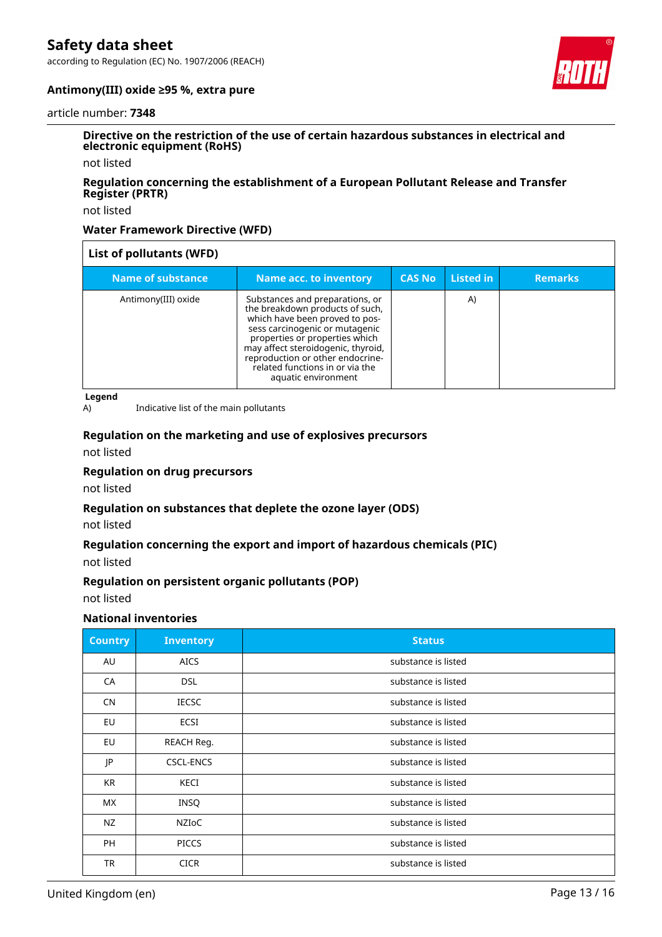according to Regulation (EC) No. 1907/2006 (REACH)



#### **Antimony(III) oxide ≥95 %, extra pure**

#### article number: **7348**

#### **Directive on the restriction of the use of certain hazardous substances in electrical and electronic equipment (RoHS)**

not listed

#### **Regulation concerning the establishment of a European Pollutant Release and Transfer Register (PRTR)**

not listed

#### **Water Framework Directive (WFD)**

| List of pollutants (WFD) |                                                                                                                                                                                                                                                                                                              |               |           |                |
|--------------------------|--------------------------------------------------------------------------------------------------------------------------------------------------------------------------------------------------------------------------------------------------------------------------------------------------------------|---------------|-----------|----------------|
| Name of substance        | Name acc. to inventory                                                                                                                                                                                                                                                                                       | <b>CAS No</b> | Listed in | <b>Remarks</b> |
| Antimony(III) oxide      | Substances and preparations, or<br>the breakdown products of such,<br>which have been proved to pos-<br>sess carcinogenic or mutagenic<br>properties or properties which<br>may affect steroidogenic, thyroid,<br>reproduction or other endocrine-<br>related functions in or via the<br>aquatic environment |               | A)        |                |

**Legend**

A) Indicative list of the main pollutants

## **Regulation on the marketing and use of explosives precursors**

not listed

#### **Regulation on drug precursors**

not listed

#### **Regulation on substances that deplete the ozone layer (ODS)**

not listed

#### **Regulation concerning the export and import of hazardous chemicals (PIC)**

not listed

#### **Regulation on persistent organic pollutants (POP)**

not listed

#### **National inventories**

| <b>Country</b> | <b>Inventory</b> | <b>Status</b>       |
|----------------|------------------|---------------------|
| AU             | <b>AICS</b>      | substance is listed |
| CA             | <b>DSL</b>       | substance is listed |
| <b>CN</b>      | <b>IECSC</b>     | substance is listed |
| EU             | <b>ECSI</b>      | substance is listed |
| EU             | REACH Req.       | substance is listed |
| JP             | CSCL-ENCS        | substance is listed |
| KR             | KECI             | substance is listed |
| МX             | <b>INSQ</b>      | substance is listed |
| NZ             | NZIoC            | substance is listed |
| <b>PH</b>      | <b>PICCS</b>     | substance is listed |
| <b>TR</b>      | <b>CICR</b>      | substance is listed |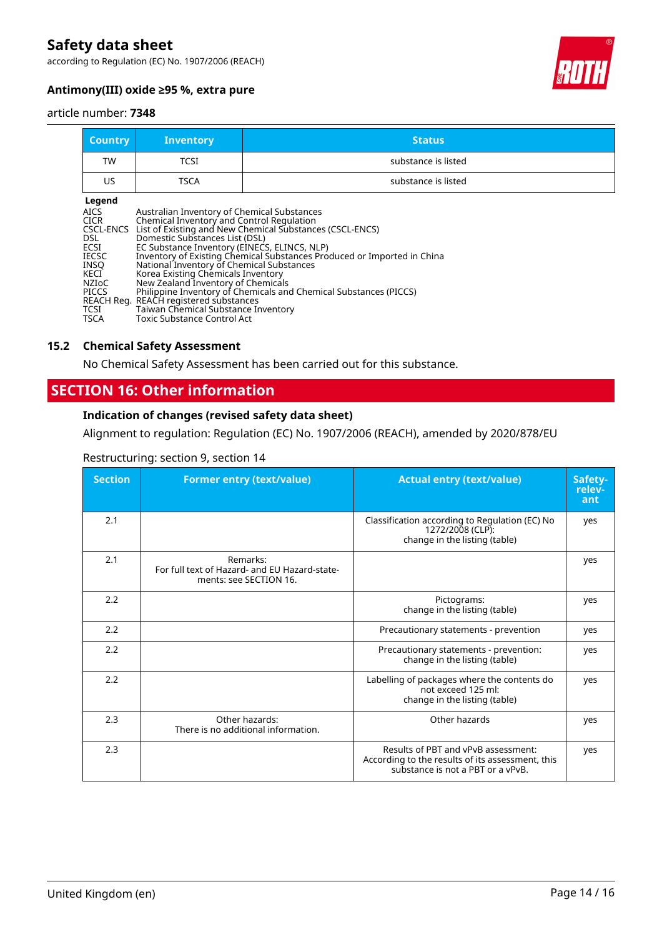according to Regulation (EC) No. 1907/2006 (REACH)



#### **Antimony(III) oxide ≥95 %, extra pure**

#### article number: **7348**

| <b>Country</b>                                                                                                                                   | <b>Inventory</b>                                                                                                                                                                                                                                                                                                                                                                     | <b>Status</b>                                                                                                                                                                                            |
|--------------------------------------------------------------------------------------------------------------------------------------------------|--------------------------------------------------------------------------------------------------------------------------------------------------------------------------------------------------------------------------------------------------------------------------------------------------------------------------------------------------------------------------------------|----------------------------------------------------------------------------------------------------------------------------------------------------------------------------------------------------------|
| TW                                                                                                                                               | <b>TCSI</b>                                                                                                                                                                                                                                                                                                                                                                          | substance is listed                                                                                                                                                                                      |
| US.                                                                                                                                              | <b>TSCA</b>                                                                                                                                                                                                                                                                                                                                                                          | substance is listed                                                                                                                                                                                      |
| Legend<br><b>AICS</b><br><b>CICR</b><br>CSCL-ENCS<br>DSL.<br>ECSI<br><b>IECSC</b><br><b>INSO</b><br>KECI<br><b>NZIOC</b><br><b>PICCS</b><br>TCSI | Australian Inventory of Chemical Substances<br>Chemical Inventory and Control Regulation<br>Domestic Substances List (DSL)<br>EC Substance Inventory (EINECS, ELINCS, NLP)<br>National Inventory of Chemical Substances<br>Korea Existing Chemicals Inventory<br>New Zealand Inventory of Chemicals<br>REACH Reg. REACH registered substances<br>Taiwan Chemical Substance Inventory | List of Existing and New Chemical Substances (CSCL-ENCS)<br>Inventory of Existing Chemical Substances Produced or Imported in China<br>Philippine Inventory of Chemicals and Chemical Substances (PICCS) |

#### **15.2 Chemical Safety Assessment**

No Chemical Safety Assessment has been carried out for this substance.

### **SECTION 16: Other information**

#### **Indication of changes (revised safety data sheet)**

Alignment to regulation: Regulation (EC) No. 1907/2006 (REACH), amended by 2020/878/EU

| Restructuring: section 9, section 14 |  |  |
|--------------------------------------|--|--|
|                                      |  |  |

| <b>Section</b> | <b>Former entry (text/value)</b>                                                    | <b>Actual entry (text/value)</b>                                                                                             | Safety-<br>relev-<br>ant |
|----------------|-------------------------------------------------------------------------------------|------------------------------------------------------------------------------------------------------------------------------|--------------------------|
| 2.1            |                                                                                     | Classification according to Regulation (EC) No<br>1272/2008 (CLP):<br>change in the listing (table)                          | yes                      |
| 2.1            | Remarks:<br>For full text of Hazard- and EU Hazard-state-<br>ments: see SECTION 16. |                                                                                                                              | yes                      |
| 2.2            |                                                                                     | Pictograms:<br>change in the listing (table)                                                                                 | yes                      |
| 2.2            |                                                                                     | Precautionary statements - prevention                                                                                        | yes                      |
| 2.2            |                                                                                     | Precautionary statements - prevention:<br>change in the listing (table)                                                      | ves                      |
| 2.2            |                                                                                     | Labelling of packages where the contents do<br>not exceed 125 ml:<br>change in the listing (table)                           | yes                      |
| 2.3            | Other hazards:<br>There is no additional information.                               | Other hazards                                                                                                                | yes                      |
| 2.3            |                                                                                     | Results of PBT and vPvB assessment:<br>According to the results of its assessment, this<br>substance is not a PBT or a vPvB. | yes                      |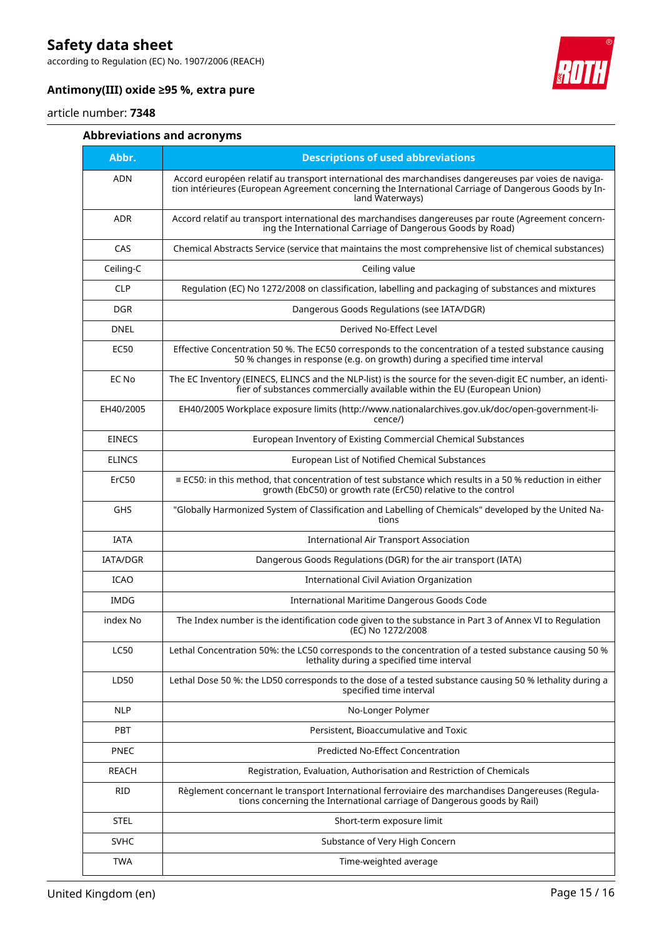according to Regulation (EC) No. 1907/2006 (REACH)



#### **Antimony(III) oxide ≥95 %, extra pure**

#### article number: **7348**

#### **Abbreviations and acronyms**

| Abbr.           | <b>Descriptions of used abbreviations</b>                                                                                                                                                                                       |
|-----------------|---------------------------------------------------------------------------------------------------------------------------------------------------------------------------------------------------------------------------------|
| ADN             | Accord européen relatif au transport international des marchandises dangereuses par voies de naviga-<br>tion intérieures (European Agreement concerning the International Carriage of Dangerous Goods by In-<br>land Waterways) |
| <b>ADR</b>      | Accord relatif au transport international des marchandises dangereuses par route (Agreement concern-<br>ing the International Carriage of Dangerous Goods by Road)                                                              |
| CAS             | Chemical Abstracts Service (service that maintains the most comprehensive list of chemical substances)                                                                                                                          |
| Ceiling-C       | Ceiling value                                                                                                                                                                                                                   |
| <b>CLP</b>      | Regulation (EC) No 1272/2008 on classification, labelling and packaging of substances and mixtures                                                                                                                              |
| <b>DGR</b>      | Dangerous Goods Regulations (see IATA/DGR)                                                                                                                                                                                      |
| <b>DNEL</b>     | Derived No-Effect Level                                                                                                                                                                                                         |
| <b>EC50</b>     | Effective Concentration 50 %. The EC50 corresponds to the concentration of a tested substance causing<br>50 % changes in response (e.g. on growth) during a specified time interval                                             |
| EC No           | The EC Inventory (EINECS, ELINCS and the NLP-list) is the source for the seven-digit EC number, an identi-<br>fier of substances commercially available within the EU (European Union)                                          |
| EH40/2005       | EH40/2005 Workplace exposure limits (http://www.nationalarchives.gov.uk/doc/open-government-li-<br>cence/)                                                                                                                      |
| <b>EINECS</b>   | European Inventory of Existing Commercial Chemical Substances                                                                                                                                                                   |
| <b>ELINCS</b>   | European List of Notified Chemical Substances                                                                                                                                                                                   |
| ErC50           | $\equiv$ EC50: in this method, that concentration of test substance which results in a 50 % reduction in either<br>growth (EbC50) or growth rate (ErC50) relative to the control                                                |
| <b>GHS</b>      | "Globally Harmonized System of Classification and Labelling of Chemicals" developed by the United Na-<br>tions                                                                                                                  |
| <b>IATA</b>     | <b>International Air Transport Association</b>                                                                                                                                                                                  |
| <b>IATA/DGR</b> | Dangerous Goods Regulations (DGR) for the air transport (IATA)                                                                                                                                                                  |
| <b>ICAO</b>     | International Civil Aviation Organization                                                                                                                                                                                       |
| <b>IMDG</b>     | International Maritime Dangerous Goods Code                                                                                                                                                                                     |
| index No        | The Index number is the identification code given to the substance in Part 3 of Annex VI to Regulation<br>(EC) No 1272/2008                                                                                                     |
| <b>LC50</b>     | Lethal Concentration 50%: the LC50 corresponds to the concentration of a tested substance causing 50 %<br>lethality during a specified time interval                                                                            |
| LD50            | Lethal Dose 50 %: the LD50 corresponds to the dose of a tested substance causing 50 % lethality during a<br>specified time interval                                                                                             |
| <b>NLP</b>      | No-Longer Polymer                                                                                                                                                                                                               |
| PBT             | Persistent, Bioaccumulative and Toxic                                                                                                                                                                                           |
| <b>PNEC</b>     | Predicted No-Effect Concentration                                                                                                                                                                                               |
| <b>REACH</b>    | Registration, Evaluation, Authorisation and Restriction of Chemicals                                                                                                                                                            |
| RID             | Règlement concernant le transport International ferroviaire des marchandises Dangereuses (Regula-<br>tions concerning the International carriage of Dangerous goods by Rail)                                                    |
| <b>STEL</b>     | Short-term exposure limit                                                                                                                                                                                                       |
| <b>SVHC</b>     | Substance of Very High Concern                                                                                                                                                                                                  |
| <b>TWA</b>      | Time-weighted average                                                                                                                                                                                                           |